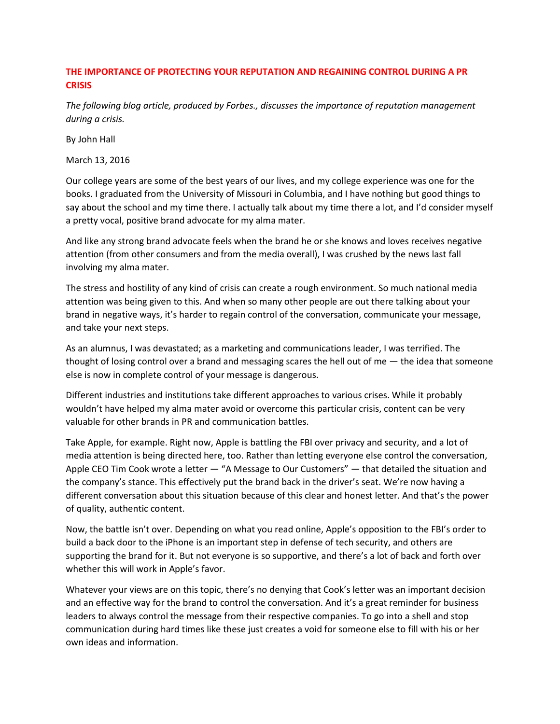## **THE IMPORTANCE OF PROTECTING YOUR REPUTATION AND REGAINING CONTROL DURING A PR CRISIS**

*The following blog article, produced by Forbes., discusses the importance of reputation management during a crisis.* 

By John Hall

March 13, 2016

Our college years are some of the best years of our lives, and my college experience was one for the books. I graduated from the University of Missouri in Columbia, and I have nothing but good things to say about the school and my time there. I actually talk about my time there a lot, and I'd consider myself a pretty vocal, positive brand advocate for my alma mater.

And like any strong brand advocate feels when the brand he or she knows and loves receives negative attention (from other consumers and from the media overall), I was crushed by the news last fall involving my alma mater.

The stress and hostility of any kind of crisis can create a rough environment. So much national media attention was being given to this. And when so many other people are out there talking about your brand in negative ways, it's harder to regain control of the conversation, communicate your message, and take your next steps.

As an alumnus, I was devastated; as a marketing and communications leader, I was terrified. The thought of losing control over a brand and messaging scares the hell out of me — the idea that someone else is now in complete control of your message is dangerous.

Different industries and institutions take different approaches to various crises. While it probably wouldn't have helped my alma mater avoid or overcome this particular crisis, content can be very valuable for other brands in PR and communication battles.

Take Apple, for example. Right now, Apple is battling the FBI over privacy and security, and a lot of media attention is being directed here, too. Rather than letting everyone else control the conversation, Apple CEO Tim Cook wrote a letter  $-$  "A Message to Our Customers"  $-$  that detailed the situation and the company's stance. This effectively put the brand back in the driver's seat. We're now having a different conversation about this situation because of this clear and honest letter. And that's the power of quality, authentic content.

Now, the battle isn't over. Depending on what you read online, Apple's opposition to the FBI's order to build a back door to the iPhone is an important step in defense of tech security, and others are supporting the brand for it. But not everyone is so supportive, and there's a lot of back and forth over whether this will work in Apple's favor.

Whatever your views are on this topic, there's no denying that Cook's letter was an important decision and an effective way for the brand to control the conversation. And it's a great reminder for business leaders to always control the message from their respective companies. To go into a shell and stop communication during hard times like these just creates a void for someone else to fill with his or her own ideas and information.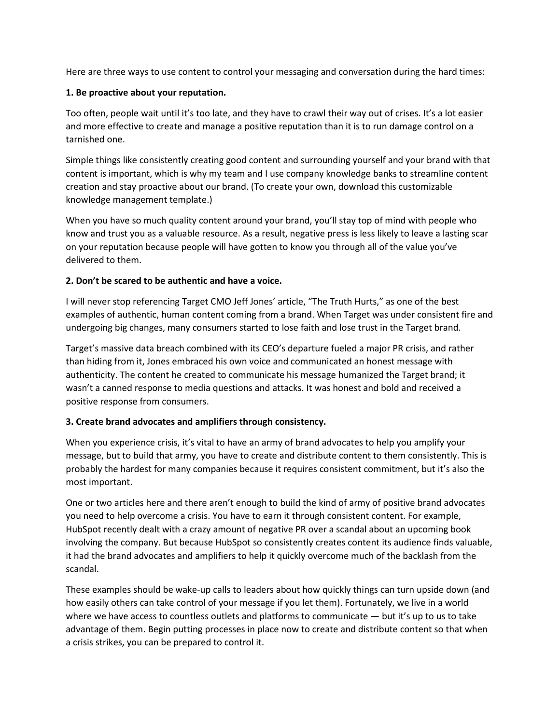Here are three ways to use content to control your messaging and conversation during the hard times:

## **1. Be proactive about your reputation.**

Too often, people wait until it's too late, and they have to crawl their way out of crises. It's a lot easier and more effective to create and manage a positive reputation than it is to run damage control on a tarnished one.

Simple things like consistently creating good content and surrounding yourself and your brand with that content is important, which is why my team and I use company knowledge banks to streamline content creation and stay proactive about our brand. (To create your own, download this customizable knowledge management template.)

When you have so much quality content around your brand, you'll stay top of mind with people who know and trust you as a valuable resource. As a result, negative press is less likely to leave a lasting scar on your reputation because people will have gotten to know you through all of the value you've delivered to them.

## **2. Don't be scared to be authentic and have a voice.**

I will never stop referencing Target CMO Jeff Jones' article, "The Truth Hurts," as one of the best examples of authentic, human content coming from a brand. When Target was under consistent fire and undergoing big changes, many consumers started to lose faith and lose trust in the Target brand.

Target's massive data breach combined with its CEO's departure fueled a major PR crisis, and rather than hiding from it, Jones embraced his own voice and communicated an honest message with authenticity. The content he created to communicate his message humanized the Target brand; it wasn't a canned response to media questions and attacks. It was honest and bold and received a positive response from consumers.

## **3. Create brand advocates and amplifiers through consistency.**

When you experience crisis, it's vital to have an army of brand advocates to help you amplify your message, but to build that army, you have to create and distribute content to them consistently. This is probably the hardest for many companies because it requires consistent commitment, but it's also the most important.

One or two articles here and there aren't enough to build the kind of army of positive brand advocates you need to help overcome a crisis. You have to earn it through consistent content. For example, HubSpot recently dealt with a crazy amount of negative PR over a scandal about an upcoming book involving the company. But because HubSpot so consistently creates content its audience finds valuable, it had the brand advocates and amplifiers to help it quickly overcome much of the backlash from the scandal.

These examples should be wake-up calls to leaders about how quickly things can turn upside down (and how easily others can take control of your message if you let them). Fortunately, we live in a world where we have access to countless outlets and platforms to communicate — but it's up to us to take advantage of them. Begin putting processes in place now to create and distribute content so that when a crisis strikes, you can be prepared to control it.